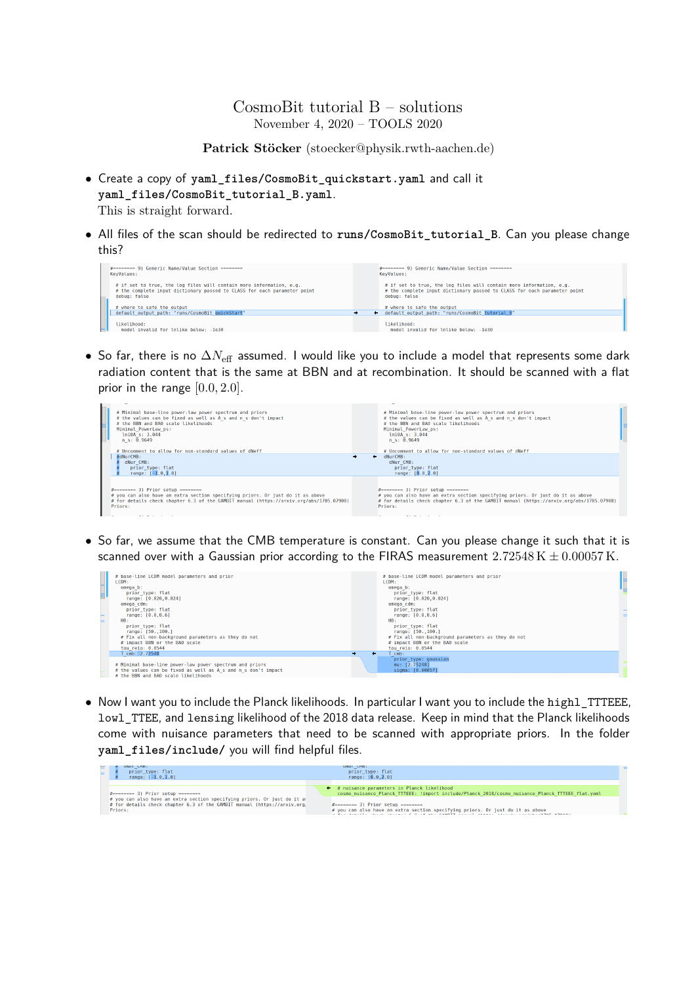## CosmoBit tutorial B – solutions November 4, 2020 – TOOLS 2020

**Patrick Stöcker** (stoecker@physik.rwth-aachen.de)

- Create a copy of **yaml\_files/CosmoBit\_quickstart.yaml** and call it **yaml\_files/CosmoBit\_tutorial\_B.yaml**. This is straight forward.
- All files of the scan should be redirected to **runs/CosmoBit\_tutorial\_B**. Can you please change this?



• So far, there is no ∆*N*eff assumed. I would like you to include a model that represents some dark radiation content that is the same at BBN and at recombination. It should be scanned with a flat prior in the range [0*.*0*,* 2*.*0].



• So far, we assume that the CMB temperature is constant. Can you please change it such that it is scanned over with a Gaussian prior according to the FIRAS measurement  $2.72548 \text{ K} \pm 0.00057 \text{ K}$ .



• Now I want you to include the Planck likelihoods. In particular I want you to include the highl\_TTTEEE, lowl\_TTEE, and lensing likelihood of the 2018 data release. Keep in mind that the Planck likelihoods come with nuisance parameters that need to be scanned with appropriate priors. In the folder **yaml\_files/include/** you will find helpful files.

| unui unb:<br>prior type: flat<br>range: $[-1.0, 1.0]$                                                                                                                                                | unur chp:<br>prior type: flat<br>range: $[0.0.2.01]$                                                                                                                                                                                                                                                                                                                      |  |
|------------------------------------------------------------------------------------------------------------------------------------------------------------------------------------------------------|---------------------------------------------------------------------------------------------------------------------------------------------------------------------------------------------------------------------------------------------------------------------------------------------------------------------------------------------------------------------------|--|
| #======== 3) Prior setup ========<br># you can also have an extra section specifying priors. Or just do it a:<br># for details check chapter 6.3 of the GAMBIT manual (https://arxiv.org,<br>Priors: | ← # nuisance parameters in Planck likelihood<br>cosmo nuisance Planck TTTEEE: !import include/Planck 2018/cosmo nuisance Planck TTTEEE flat.yaml<br>$#$ ========= 3) Prior setup ========<br># you can also have an extra section specifying priors. Or just do it as above<br>a gio dialetti chich chicago e o ce ani eauntt ciccol (haaci (ficci), confine (1905-09000) |  |